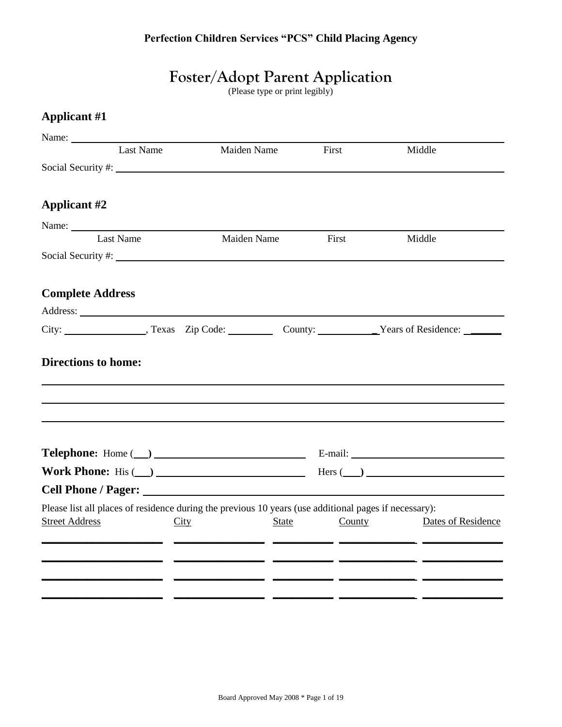# **Foster/Adopt Parent Application**

(Please type or print legibly)

### **Applicant #1**

| Name:                                                                                                                                  |                                                                                                                                       |        |                    |
|----------------------------------------------------------------------------------------------------------------------------------------|---------------------------------------------------------------------------------------------------------------------------------------|--------|--------------------|
| Last Name                                                                                                                              | Maiden Name                                                                                                                           | First  | Middle             |
|                                                                                                                                        |                                                                                                                                       |        |                    |
|                                                                                                                                        |                                                                                                                                       |        |                    |
| <b>Applicant #2</b>                                                                                                                    |                                                                                                                                       |        |                    |
|                                                                                                                                        |                                                                                                                                       |        |                    |
| Last Name                                                                                                                              | Maiden Name                                                                                                                           | First  | Middle             |
|                                                                                                                                        |                                                                                                                                       |        |                    |
| <b>Complete Address</b>                                                                                                                |                                                                                                                                       |        |                    |
| Address: <u>New York: Address:</u> New York: 1997                                                                                      |                                                                                                                                       |        |                    |
|                                                                                                                                        |                                                                                                                                       |        |                    |
|                                                                                                                                        |                                                                                                                                       |        |                    |
|                                                                                                                                        |                                                                                                                                       |        |                    |
| Work Phone: His $\qquad)$ Hers $\qquad)$ Hers $\qquad)$                                                                                |                                                                                                                                       |        |                    |
|                                                                                                                                        |                                                                                                                                       |        |                    |
| Please list all places of residence during the previous 10 years (use additional pages if necessary):<br><b>Street Address</b><br>City | <b>State</b><br><u> 1990 - Jan James, marco de contrar en la provincia de la forma de la forma de la forma de la forma de la form</u> | County | Dates of Residence |
| <u> 1999 - John Harry John Harry Harry John Harry Harry Harry Harry Harry Harry Harry Harry Harry Harry Harry Har</u>                  |                                                                                                                                       |        |                    |
|                                                                                                                                        |                                                                                                                                       |        |                    |
|                                                                                                                                        |                                                                                                                                       |        |                    |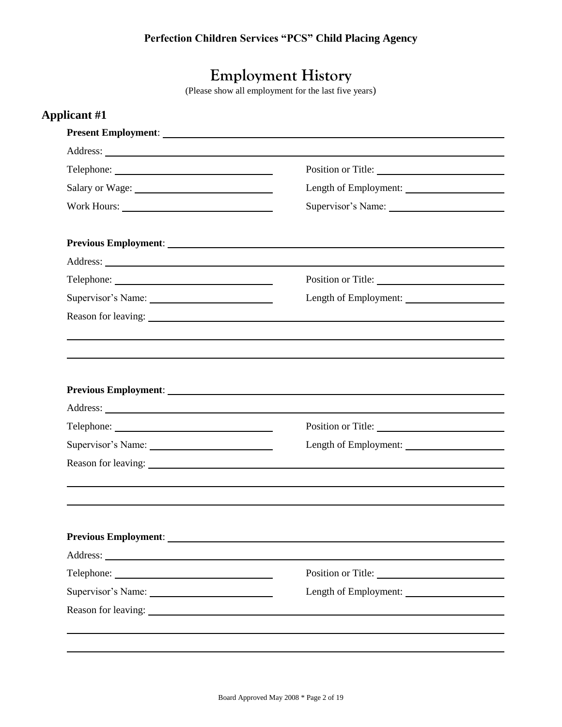## **Employment History**

(Please show all employment for the last five years)

|                 | Position or Title:                          |
|-----------------|---------------------------------------------|
| Salary or Wage: | Length of Employment:                       |
|                 |                                             |
|                 |                                             |
|                 |                                             |
|                 | Position or Title:                          |
|                 | Length of Employment:                       |
|                 |                                             |
|                 |                                             |
|                 |                                             |
|                 | Position or Title:<br>Length of Employment: |
|                 |                                             |
|                 |                                             |
|                 |                                             |
|                 |                                             |
|                 | Position or Title:                          |
|                 | Length of Employment:                       |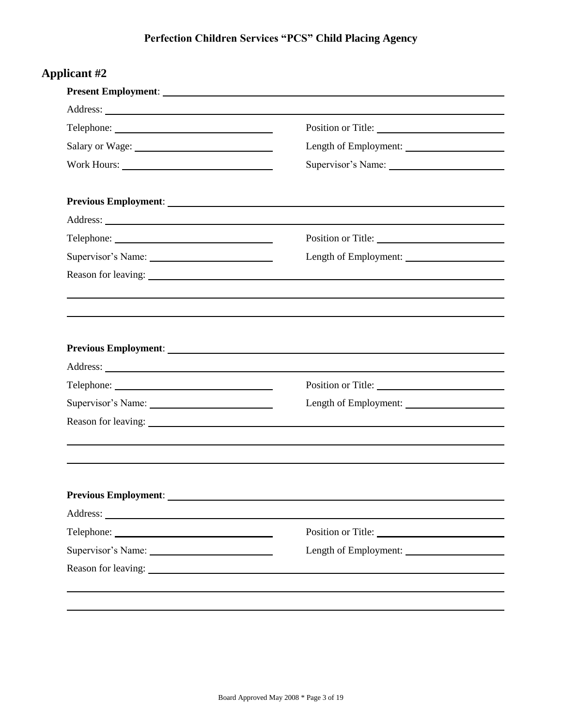|                    | Position or Title:                          |
|--------------------|---------------------------------------------|
|                    |                                             |
|                    | Supervisor's Name:                          |
|                    |                                             |
|                    |                                             |
|                    | Position or Title:                          |
| Supervisor's Name: |                                             |
|                    |                                             |
|                    |                                             |
|                    | Position or Title:<br>Length of Employment: |
| Supervisor's Name: |                                             |
|                    |                                             |
|                    |                                             |
|                    | Position or Title:                          |
|                    | Length of Employment:                       |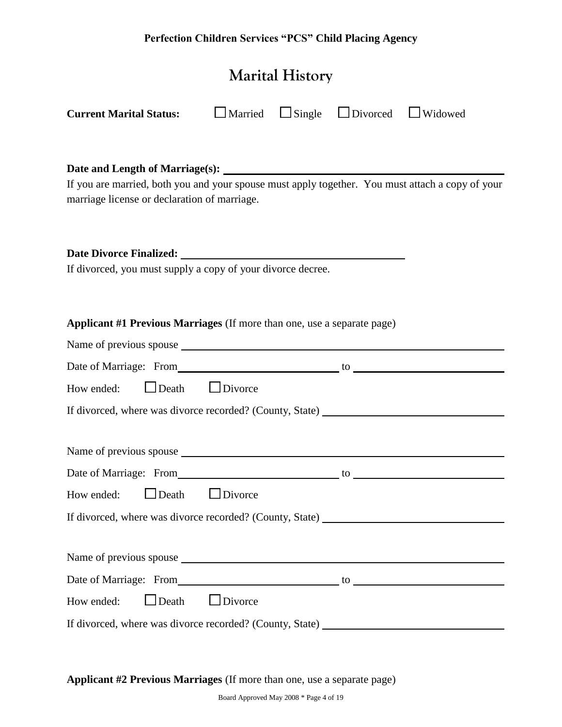| <b>Perfection Children Services "PCS" Child Placing Agency</b>                                                                                                                                                                                                                                |  |  |                                 |  |  |  |
|-----------------------------------------------------------------------------------------------------------------------------------------------------------------------------------------------------------------------------------------------------------------------------------------------|--|--|---------------------------------|--|--|--|
| <b>Marital History</b>                                                                                                                                                                                                                                                                        |  |  |                                 |  |  |  |
| <b>Current Marital Status:</b>                                                                                                                                                                                                                                                                |  |  | Married Single Divorced Widowed |  |  |  |
| If you are married, both you and your spouse must apply together. You must attach a copy of your<br>marriage license or declaration of marriage.                                                                                                                                              |  |  |                                 |  |  |  |
| Date Divorce Finalized: New York 1988 and 2008. The Contract of the Contract of the Contract of the Contract of the Contract of the Contract of the Contract of the Contract of the Contract of the Contract of the Contract o<br>If divorced, you must supply a copy of your divorce decree. |  |  |                                 |  |  |  |
| Applicant #1 Previous Marriages (If more than one, use a separate page)                                                                                                                                                                                                                       |  |  |                                 |  |  |  |
| Date of Marriage: From the contract of Marriage: From the contract of the contract of $\sim$                                                                                                                                                                                                  |  |  |                                 |  |  |  |
| How ended: $\Box$ Death $\Box$ Divorce                                                                                                                                                                                                                                                        |  |  |                                 |  |  |  |
| If divorced, where was divorce recorded? (County, State) _______________________                                                                                                                                                                                                              |  |  |                                 |  |  |  |
| Name of previous spouse example and the state of previous spouse                                                                                                                                                                                                                              |  |  |                                 |  |  |  |
| Date of Marriage: From to to the matrix of Marriage: From the state of Marriage: From the state of Marriage of Marriage of Marriage of Marriage of Marriage of Marriage of Marriage of Marriage of Marriage of Marriage of Mar                                                                |  |  |                                 |  |  |  |

If divorced, where was divorce recorded? (County, State) Name of previous spouse

| Date of Marriage: From                                   | tΟ |
|----------------------------------------------------------|----|
| How ended: $\Box$ Death $\Box$ Divorce                   |    |
| If divorced, where was divorce recorded? (County, State) |    |

**Applicant #2 Previous Marriages** (If more than one, use a separate page)

How ended:  $\Box$  Death  $\Box$  Divorce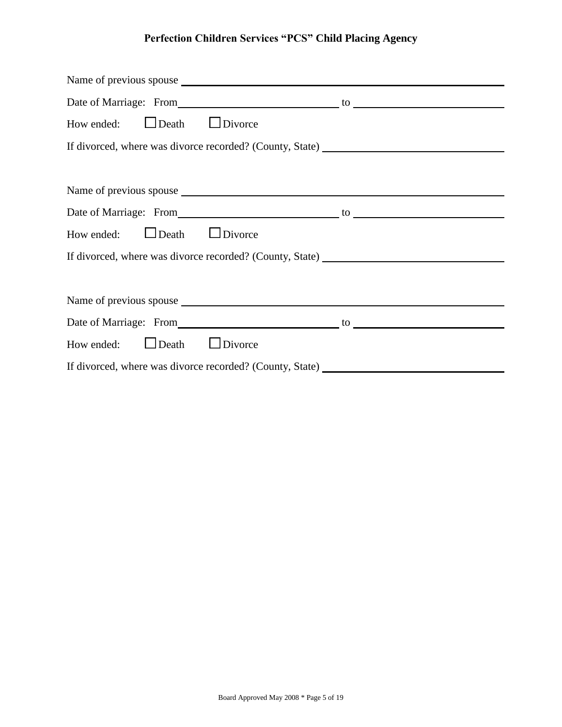| Date of Marriage: From the contract of Marriage: From the contract of the contract of $\sim$                                                                                                                                   |  |
|--------------------------------------------------------------------------------------------------------------------------------------------------------------------------------------------------------------------------------|--|
| How ended: $\Box$ Death $\Box$ Divorce                                                                                                                                                                                         |  |
| If divorced, where was divorce recorded? (County, State) _______________________                                                                                                                                               |  |
|                                                                                                                                                                                                                                |  |
|                                                                                                                                                                                                                                |  |
| Date of Marriage: From to to the material contract of Marriage: From the state of Marriage: From the state of Marriage of Marriage of Marriage of Marriage of Marriage of Marriage of Marriage of Marriage of Marriage of Marr |  |
| How ended: $\Box$ Death $\Box$ Divorce                                                                                                                                                                                         |  |
| If divorced, where was divorce recorded? (County, State) _______________________                                                                                                                                               |  |
|                                                                                                                                                                                                                                |  |
|                                                                                                                                                                                                                                |  |
| Date of Marriage: From to to the matrix of the contract of Marriage: From the contract of Marriage: The contract of the contract of the contract of the contract of the contract of the contract of the contract of the contra |  |
| How ended: $\Box$ Death $\Box$ Divorce                                                                                                                                                                                         |  |
| If divorced, where was divorce recorded? (County, State) _______________________                                                                                                                                               |  |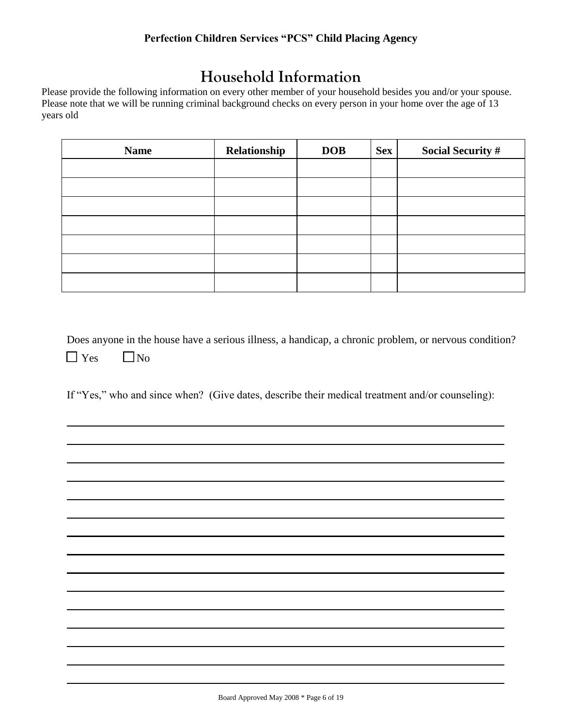## **Household Information**

Please provide the following information on every other member of your household besides you and/or your spouse. Please note that we will be running criminal background checks on every person in your home over the age of 13 years old

| <b>Name</b> | Relationship | <b>DOB</b> | <b>Sex</b> | <b>Social Security #</b> |
|-------------|--------------|------------|------------|--------------------------|
|             |              |            |            |                          |
|             |              |            |            |                          |
|             |              |            |            |                          |
|             |              |            |            |                          |
|             |              |            |            |                          |
|             |              |            |            |                          |
|             |              |            |            |                          |

Does anyone in the house have a serious illness, a handicap, a chronic problem, or nervous condition?  $\Box$  Yes  $\Box$  No

If "Yes," who and since when? (Give dates, describe their medical treatment and/or counseling):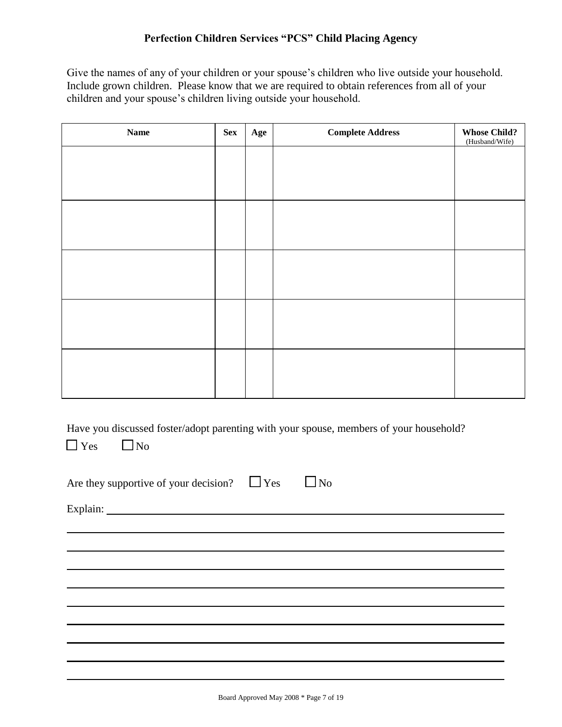Give the names of any of your children or your spouse's children who live outside your household. Include grown children. Please know that we are required to obtain references from all of your children and your spouse's children living outside your household.

| <b>Name</b> | <b>Sex</b> | Age | <b>Complete Address</b> | <b>Whose Child?</b><br>(Husband/Wife) |
|-------------|------------|-----|-------------------------|---------------------------------------|
|             |            |     |                         |                                       |
|             |            |     |                         |                                       |
|             |            |     |                         |                                       |
|             |            |     |                         |                                       |
|             |            |     |                         |                                       |
|             |            |     |                         |                                       |
|             |            |     |                         |                                       |
|             |            |     |                         |                                       |
|             |            |     |                         |                                       |
|             |            |     |                         |                                       |
|             |            |     |                         |                                       |

Have you discussed foster/adopt parenting with your spouse, members of your household?

 $\Box$  Yes  $\Box$  No

| $\Box$ Yes<br>$\Box$ No<br>Are they supportive of your decision? |  |
|------------------------------------------------------------------|--|
|------------------------------------------------------------------|--|

Explain: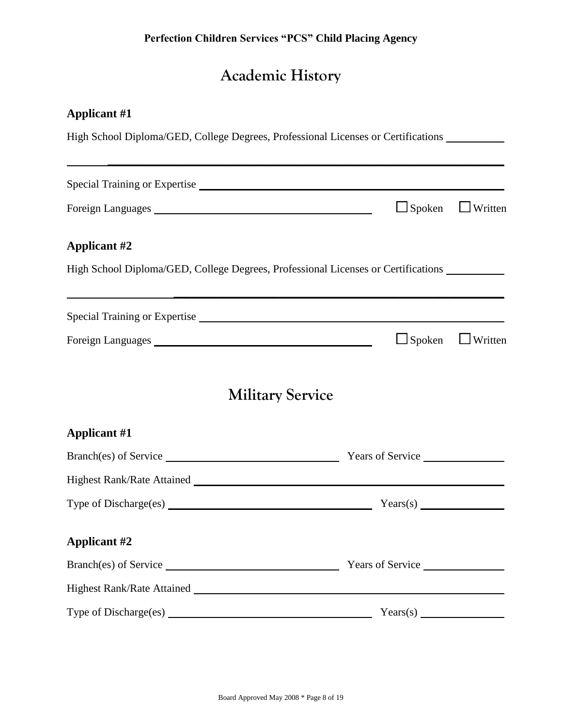# **Academic History**

## **Applicant #1**

|                                                                                          | High School Diploma/GED, College Degrees, Professional Licenses or Certifications                                                                                                                                              |
|------------------------------------------------------------------------------------------|--------------------------------------------------------------------------------------------------------------------------------------------------------------------------------------------------------------------------------|
|                                                                                          |                                                                                                                                                                                                                                |
|                                                                                          | $\Box$ Spoken<br>$\Box$ Written                                                                                                                                                                                                |
| <b>Applicant #2</b>                                                                      |                                                                                                                                                                                                                                |
|                                                                                          | High School Diploma/GED, College Degrees, Professional Licenses or Certifications                                                                                                                                              |
|                                                                                          |                                                                                                                                                                                                                                |
|                                                                                          | $\Box$ Spoken<br>$\Box$ Written                                                                                                                                                                                                |
|                                                                                          | <b>Military Service</b>                                                                                                                                                                                                        |
| <b>Applicant #1</b>                                                                      |                                                                                                                                                                                                                                |
| Branch(es) of Service                                                                    | Years of Service                                                                                                                                                                                                               |
| Highest Rank/Rate Attained Manual Account of the Attained Manual Account of the Attained |                                                                                                                                                                                                                                |
|                                                                                          |                                                                                                                                                                                                                                |
| <b>Applicant #2</b>                                                                      |                                                                                                                                                                                                                                |
|                                                                                          | Branch(es) of Service Nearly 1988 Nearly 1988 Nearly 1988 Nearly 1988 Nearly 1988 Nearly 1988 Nearly 1988 Nearly 1988 Nearly 1988 Nearly 1988 Nearly 1988 Nearly 1988 Nearly 1988 Nearly 1988 Nearly 1988 Nearly 1988 Nearly 1 |
| Highest Rank/Rate Attained Law 2012 19:30 and 2013                                       |                                                                                                                                                                                                                                |
|                                                                                          | Years(s)                                                                                                                                                                                                                       |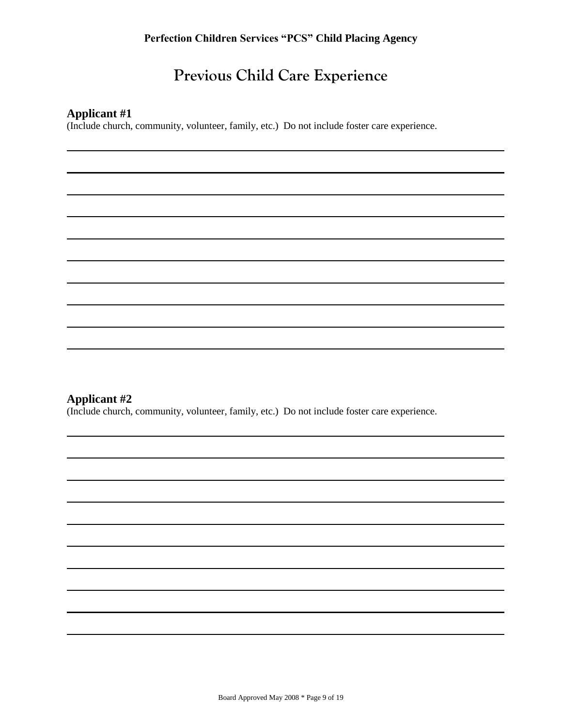## **Previous Child Care Experience**

### **Applicant #1**

(Include church, community, volunteer, family, etc.) Do not include foster care experience.

### **Applicant #2**

(Include church, community, volunteer, family, etc.) Do not include foster care experience.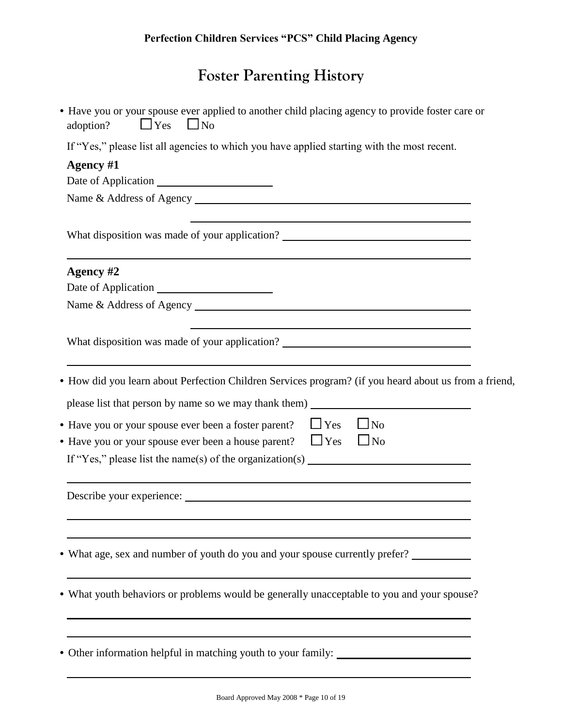# **Foster Parenting History**

| • Have you or your spouse ever applied to another child placing agency to provide foster care or<br>$\Box$ Yes<br>$\Box$ No<br>adoption?                                                                                                                                   |
|----------------------------------------------------------------------------------------------------------------------------------------------------------------------------------------------------------------------------------------------------------------------------|
| If "Yes," please list all agencies to which you have applied starting with the most recent.                                                                                                                                                                                |
| Agency #1                                                                                                                                                                                                                                                                  |
| Date of Application                                                                                                                                                                                                                                                        |
|                                                                                                                                                                                                                                                                            |
| What disposition was made of your application? __________________________________                                                                                                                                                                                          |
| Agency #2                                                                                                                                                                                                                                                                  |
| Date of Application                                                                                                                                                                                                                                                        |
|                                                                                                                                                                                                                                                                            |
| What disposition was made of your application? _________________________________                                                                                                                                                                                           |
| • How did you learn about Perfection Children Services program? (if you heard about us from a friend,<br>• Have you or your spouse ever been a foster parent?<br>$\Box$ Yes<br>$\Box$ No<br>$\Box$ Yes<br>• Have you or your spouse ever been a house parent?<br>$\Box$ No |
| If "Yes," please list the name(s) of the organization(s) $\frac{1}{\sqrt{1-\frac{1}{n}}\sqrt{1-\frac{1}{n}}\sqrt{1-\frac{1}{n}}\sqrt{1-\frac{1}{n}}}}$                                                                                                                     |
| Describe your experience: Later and the set of the set of the set of the set of the set of the set of the set of the set of the set of the set of the set of the set of the set of the set of the set of the set of the set of                                             |
| • What age, sex and number of youth do you and your spouse currently prefer?                                                                                                                                                                                               |
| • What youth behaviors or problems would be generally unacceptable to you and your spouse?                                                                                                                                                                                 |
| • Other information helpful in matching youth to your family: __________________                                                                                                                                                                                           |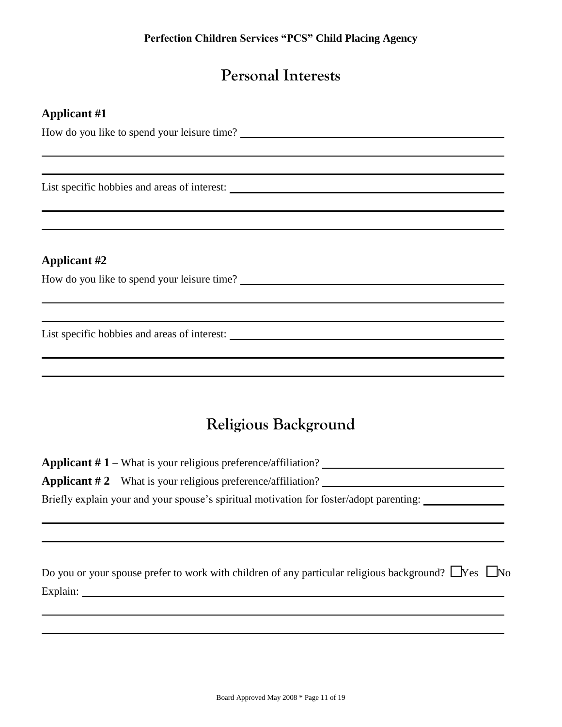## **Personal Interests**

### **Applicant #1**

How do you like to spend your leisure time?

List specific hobbies and areas of interest:

### **Applicant #2**

How do you like to spend your leisure time?

List specific hobbies and areas of interest:

## **Religious Background**

**Applicant # 1** – What is your religious preference/affiliation? **Applicant # 2** – What is your religious preference/affiliation? Briefly explain your and your spouse's spiritual motivation for foster/adopt parenting:

| Do you or your spouse prefer to work with children of any particular religious background? $\Box$ Yes $\Box$ No |  |
|-----------------------------------------------------------------------------------------------------------------|--|
| Explain:                                                                                                        |  |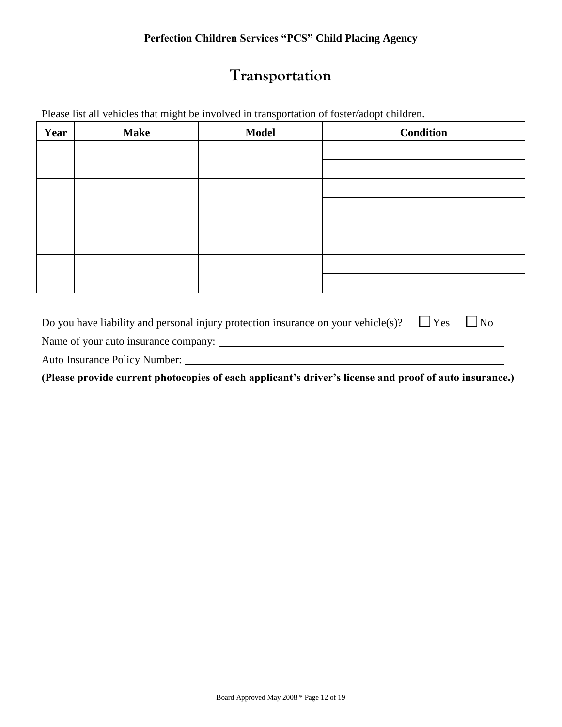## **Transportation**

Please list all vehicles that might be involved in transportation of foster/adopt children.

| Year | <b>Make</b> | <b>Model</b> | <b>Condition</b> |
|------|-------------|--------------|------------------|
|      |             |              |                  |
|      |             |              |                  |
|      |             |              |                  |
|      |             |              |                  |
|      |             |              |                  |
|      |             |              |                  |
|      |             |              |                  |
|      |             |              |                  |

| Do you have liability and personal injury protection insurance on your vehicle(s)? | $\Box$ Yes | $\Box$ No |
|------------------------------------------------------------------------------------|------------|-----------|
| Name of your auto insurance company:                                               |            |           |
| <b>Auto Insurance Policy Number:</b>                                               |            |           |

**(Please provide current photocopies of each applicant's driver's license and proof of auto insurance.)**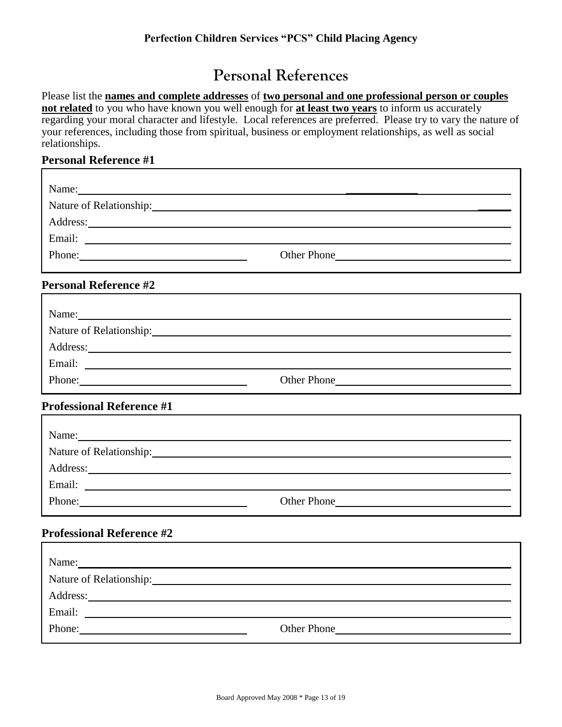## **Personal References**

Please list the **names and complete addresses** of **two personal and one professional person or couples not related** to you who have known you well enough for **at least two years** to inform us accurately regarding your moral character and lifestyle. Local references are preferred. Please try to vary the nature of your references, including those from spiritual, business or employment relationships, as well as social relationships.

#### **Personal Reference #1** г

| Name:<br><u>and the contract of the contract of the contract of the contract of the contract of the contract of the contract of the contract of the contract of the contract of the contract of the contract of the contract of the contr</u> |             |
|-----------------------------------------------------------------------------------------------------------------------------------------------------------------------------------------------------------------------------------------------|-------------|
| Nature of Relationship:                                                                                                                                                                                                                       |             |
| Address:                                                                                                                                                                                                                                      |             |
| Email:                                                                                                                                                                                                                                        |             |
| Phone:                                                                                                                                                                                                                                        | Other Phone |
|                                                                                                                                                                                                                                               |             |

### **Personal Reference #2**

| Name:                                                                               |                    |  |  |
|-------------------------------------------------------------------------------------|--------------------|--|--|
| Nature of Relationship:<br><u> 1989 - John Stone, amerikansk politiker († 1908)</u> |                    |  |  |
| Address:                                                                            |                    |  |  |
| Email:                                                                              |                    |  |  |
| Phone:                                                                              | <b>Other Phone</b> |  |  |

### **Professional Reference #1**

| Name:    |             |
|----------|-------------|
|          |             |
| Address: |             |
| Email:   |             |
| Phone:   | Other Phone |

### **Professional Reference #2**

| Name:                   |             |
|-------------------------|-------------|
| Nature of Relationship: |             |
| Address:                |             |
| Email:                  |             |
| Phone:                  | Other Phone |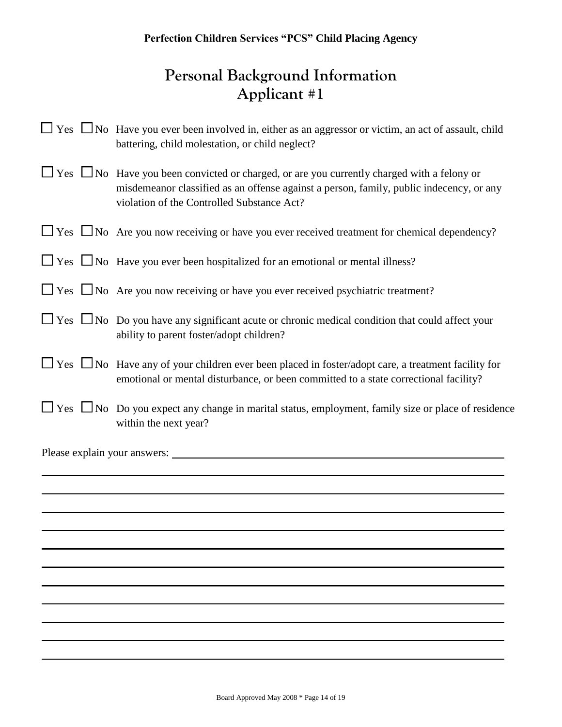## **Personal Background Information Applicant #1**

|  | $\Box$ Yes $\Box$ No Have you ever been involved in, either as an aggressor or victim, an act of assault, child<br>battering, child molestation, or child neglect?                                                                              |
|--|-------------------------------------------------------------------------------------------------------------------------------------------------------------------------------------------------------------------------------------------------|
|  | $\Box$ Yes $\Box$ No Have you been convicted or charged, or are you currently charged with a felony or<br>misdemeanor classified as an offense against a person, family, public indecency, or any<br>violation of the Controlled Substance Act? |
|  | $\Box$ Yes $\Box$ No Are you now receiving or have you ever received treatment for chemical dependency?                                                                                                                                         |
|  | $\Box$ Yes $\Box$ No Have you ever been hospitalized for an emotional or mental illness?                                                                                                                                                        |
|  | $\Box$ Yes $\Box$ No Are you now receiving or have you ever received psychiatric treatment?                                                                                                                                                     |
|  | $\Box$ Yes $\Box$ No Do you have any significant acute or chronic medical condition that could affect your<br>ability to parent foster/adopt children?                                                                                          |
|  | $\Box$ Yes $\Box$ No Have any of your children ever been placed in foster/adopt care, a treatment facility for<br>emotional or mental disturbance, or been committed to a state correctional facility?                                          |
|  | $\Box$ Yes $\Box$ No Do you expect any change in marital status, employment, family size or place of residence<br>within the next year?                                                                                                         |
|  |                                                                                                                                                                                                                                                 |
|  |                                                                                                                                                                                                                                                 |
|  |                                                                                                                                                                                                                                                 |
|  |                                                                                                                                                                                                                                                 |
|  |                                                                                                                                                                                                                                                 |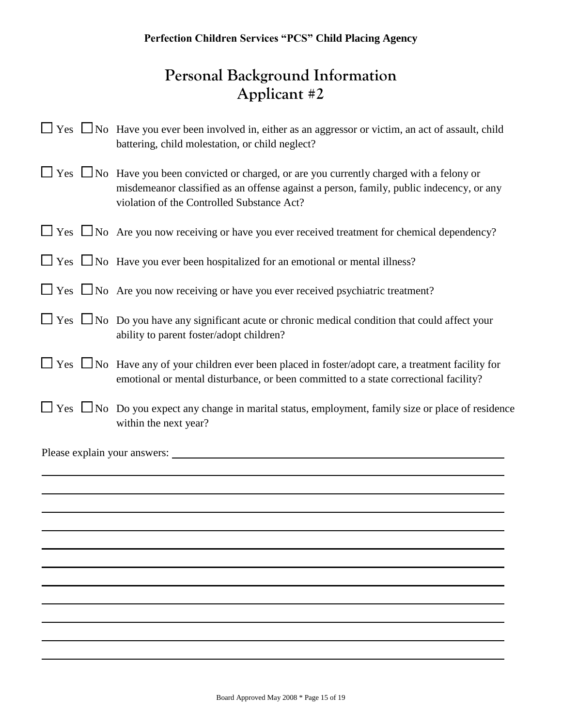## **Personal Background Information Applicant #2**

|  | $\Box$ Yes $\Box$ No Have you ever been involved in, either as an aggressor or victim, an act of assault, child<br>battering, child molestation, or child neglect?                                                                              |
|--|-------------------------------------------------------------------------------------------------------------------------------------------------------------------------------------------------------------------------------------------------|
|  | $\Box$ Yes $\Box$ No Have you been convicted or charged, or are you currently charged with a felony or<br>misdemeanor classified as an offense against a person, family, public indecency, or any<br>violation of the Controlled Substance Act? |
|  | $\Box$ Yes $\Box$ No Are you now receiving or have you ever received treatment for chemical dependency?                                                                                                                                         |
|  | $\Box$ Yes $\Box$ No Have you ever been hospitalized for an emotional or mental illness?                                                                                                                                                        |
|  | $\Box$ Yes $\Box$ No Are you now receiving or have you ever received psychiatric treatment?                                                                                                                                                     |
|  | $\Box$ Yes $\Box$ No Do you have any significant acute or chronic medical condition that could affect your<br>ability to parent foster/adopt children?                                                                                          |
|  | $\Box$ Yes $\Box$ No Have any of your children ever been placed in foster/adopt care, a treatment facility for<br>emotional or mental disturbance, or been committed to a state correctional facility?                                          |
|  | $\Box$ Yes $\Box$ No Do you expect any change in marital status, employment, family size or place of residence<br>within the next year?                                                                                                         |
|  |                                                                                                                                                                                                                                                 |
|  |                                                                                                                                                                                                                                                 |
|  |                                                                                                                                                                                                                                                 |
|  |                                                                                                                                                                                                                                                 |
|  |                                                                                                                                                                                                                                                 |
|  |                                                                                                                                                                                                                                                 |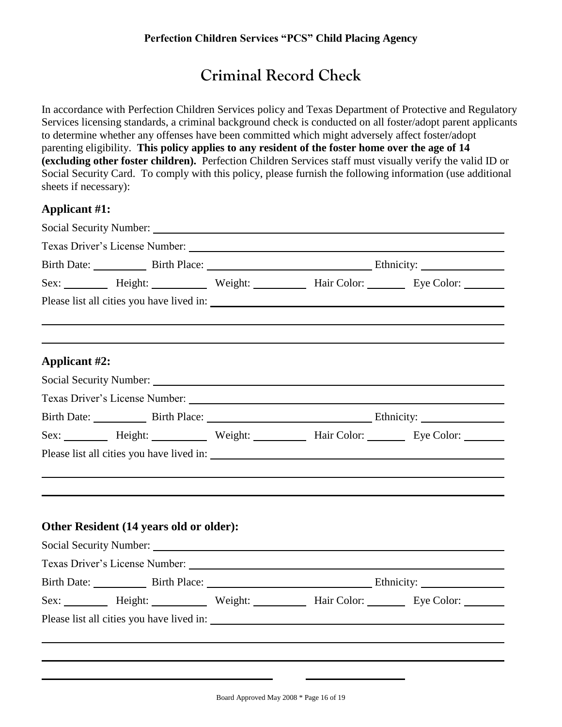## **Criminal Record Check**

In accordance with Perfection Children Services policy and Texas Department of Protective and Regulatory Services licensing standards, a criminal background check is conducted on all foster/adopt parent applicants to determine whether any offenses have been committed which might adversely affect foster/adopt parenting eligibility. **This policy applies to any resident of the foster home over the age of 14 (excluding other foster children).** Perfection Children Services staff must visually verify the valid ID or Social Security Card. To comply with this policy, please furnish the following information (use additional sheets if necessary):

### **Applicant #1:**

|                      | Social Security Number: Social Security Number:                                                                                                                                                                                     |                                                             |  |  |  |
|----------------------|-------------------------------------------------------------------------------------------------------------------------------------------------------------------------------------------------------------------------------------|-------------------------------------------------------------|--|--|--|
|                      |                                                                                                                                                                                                                                     |                                                             |  |  |  |
|                      |                                                                                                                                                                                                                                     | Birth Date: Birth Place: Birth Place: Ethnicity: Ethnicity: |  |  |  |
|                      | Sex: ________ Height: ________ Weight: ________ Hair Color: _______ Eye Color: _______                                                                                                                                              |                                                             |  |  |  |
|                      | Please list all cities you have lived in:                                                                                                                                                                                           |                                                             |  |  |  |
|                      |                                                                                                                                                                                                                                     |                                                             |  |  |  |
| <b>Applicant #2:</b> |                                                                                                                                                                                                                                     |                                                             |  |  |  |
|                      | Social Security Number: Social Security Number:                                                                                                                                                                                     |                                                             |  |  |  |
|                      |                                                                                                                                                                                                                                     |                                                             |  |  |  |
|                      | Birth Date: Birth Place: Birth Place: Ethnicity:                                                                                                                                                                                    |                                                             |  |  |  |
|                      | Sex: Height: Weight: Weight: Hair Color: Eye Color:                                                                                                                                                                                 |                                                             |  |  |  |
|                      |                                                                                                                                                                                                                                     |                                                             |  |  |  |
|                      |                                                                                                                                                                                                                                     |                                                             |  |  |  |
|                      |                                                                                                                                                                                                                                     |                                                             |  |  |  |
|                      |                                                                                                                                                                                                                                     |                                                             |  |  |  |
|                      | Other Resident (14 years old or older):                                                                                                                                                                                             |                                                             |  |  |  |
|                      | Social Security Number: <u>Contract Communication</u> Contract Contract Contract Contract Contract Contract Contract Contract Contract Contract Contract Contract Contract Contract Contract Contract Contract Contract Contract Co |                                                             |  |  |  |
|                      |                                                                                                                                                                                                                                     |                                                             |  |  |  |
|                      | Birth Date: Birth Place: Birth Place: Ethnicity:                                                                                                                                                                                    |                                                             |  |  |  |
|                      | Sex: _________ Height: __________ Weight: __________ Hair Color: ________ Eye Color: _______                                                                                                                                        |                                                             |  |  |  |
|                      |                                                                                                                                                                                                                                     |                                                             |  |  |  |
|                      |                                                                                                                                                                                                                                     |                                                             |  |  |  |
|                      |                                                                                                                                                                                                                                     |                                                             |  |  |  |
|                      |                                                                                                                                                                                                                                     |                                                             |  |  |  |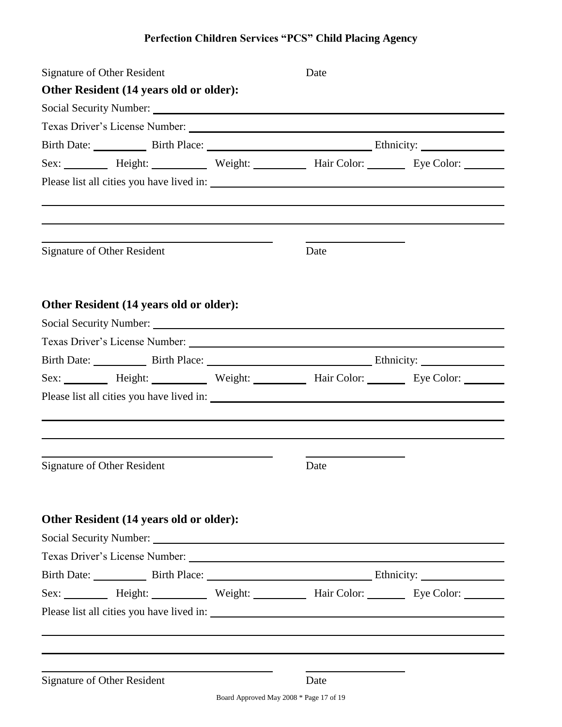| Signature of Other Resident                                                                  |  | Date                                             |  |  |
|----------------------------------------------------------------------------------------------|--|--------------------------------------------------|--|--|
| Other Resident (14 years old or older):                                                      |  |                                                  |  |  |
| Social Security Number: National Security Number:                                            |  |                                                  |  |  |
|                                                                                              |  |                                                  |  |  |
|                                                                                              |  | Birth Date: Birth Place: Birth Place: Ethnicity: |  |  |
| Sex: _________ Height: __________ Weight: __________ Hair Color: ________ Eye Color: _______ |  |                                                  |  |  |
|                                                                                              |  |                                                  |  |  |
|                                                                                              |  |                                                  |  |  |
| <b>Signature of Other Resident</b>                                                           |  | Date                                             |  |  |
| Other Resident (14 years old or older):                                                      |  |                                                  |  |  |
|                                                                                              |  |                                                  |  |  |
| Texas Driver's License Number:                                                               |  |                                                  |  |  |
| Birth Date: Birth Place: Birth Place: Ethnicity:                                             |  |                                                  |  |  |
| Sex: Height: Weight: Weight: Hair Color: Eye Color:                                          |  |                                                  |  |  |
|                                                                                              |  |                                                  |  |  |
|                                                                                              |  |                                                  |  |  |
|                                                                                              |  |                                                  |  |  |
|                                                                                              |  |                                                  |  |  |
| <b>Signature of Other Resident</b>                                                           |  | Date                                             |  |  |
|                                                                                              |  |                                                  |  |  |
|                                                                                              |  |                                                  |  |  |
| Other Resident (14 years old or older):                                                      |  |                                                  |  |  |
| Social Security Number: Social Security Number:                                              |  |                                                  |  |  |
|                                                                                              |  |                                                  |  |  |
| Birth Date: Birth Place: Birth Place: Ethnicity: Ethnicity:                                  |  |                                                  |  |  |
| Sex: _________ Height: __________ Weight: __________ Hair Color: ________ Eye Color: _______ |  |                                                  |  |  |
|                                                                                              |  |                                                  |  |  |
|                                                                                              |  |                                                  |  |  |
|                                                                                              |  |                                                  |  |  |
|                                                                                              |  |                                                  |  |  |
| <b>Signature of Other Resident</b>                                                           |  | Date                                             |  |  |

Board Approved May 2008 \* Page 17 of 19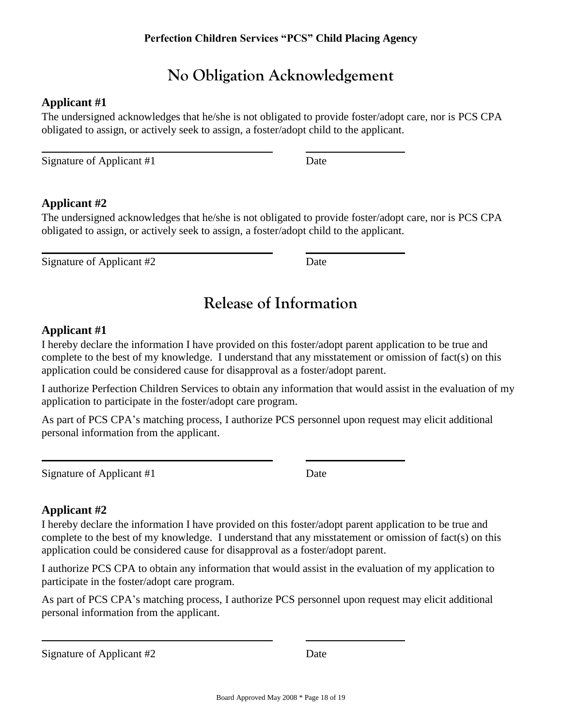## **No Obligation Acknowledgement**

### **Applicant #1**

The undersigned acknowledges that he/she is not obligated to provide foster/adopt care, nor is PCS CPA obligated to assign, or actively seek to assign, a foster/adopt child to the applicant.

Signature of Applicant #1 Date

### **Applicant #2**

The undersigned acknowledges that he/she is not obligated to provide foster/adopt care, nor is PCS CPA obligated to assign, or actively seek to assign, a foster/adopt child to the applicant.

Signature of Applicant #2 Date

## **Release of Information**

### **Applicant #1**

I hereby declare the information I have provided on this foster/adopt parent application to be true and complete to the best of my knowledge. I understand that any misstatement or omission of fact(s) on this application could be considered cause for disapproval as a foster/adopt parent.

I authorize Perfection Children Services to obtain any information that would assist in the evaluation of my application to participate in the foster/adopt care program.

As part of PCS CPA's matching process, I authorize PCS personnel upon request may elicit additional personal information from the applicant.

Signature of Applicant #1 Date

### **Applicant #2**

I hereby declare the information I have provided on this foster/adopt parent application to be true and complete to the best of my knowledge. I understand that any misstatement or omission of fact(s) on this application could be considered cause for disapproval as a foster/adopt parent.

I authorize PCS CPA to obtain any information that would assist in the evaluation of my application to participate in the foster/adopt care program.

As part of PCS CPA's matching process, I authorize PCS personnel upon request may elicit additional personal information from the applicant.

Signature of Applicant #2 Date